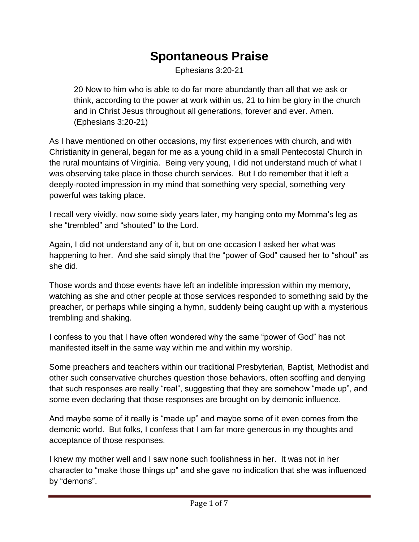## **Spontaneous Praise**

Ephesians 3:20-21

20 Now to him who is able to do far more abundantly than all that we ask or think, according to the power at work within us, 21 to him be glory in the church and in Christ Jesus throughout all generations, forever and ever. Amen. (Ephesians 3:20-21)

As I have mentioned on other occasions, my first experiences with church, and with Christianity in general, began for me as a young child in a small Pentecostal Church in the rural mountains of Virginia. Being very young, I did not understand much of what I was observing take place in those church services. But I do remember that it left a deeply-rooted impression in my mind that something very special, something very powerful was taking place.

I recall very vividly, now some sixty years later, my hanging onto my Momma's leg as she "trembled" and "shouted" to the Lord.

Again, I did not understand any of it, but on one occasion I asked her what was happening to her. And she said simply that the "power of God" caused her to "shout" as she did.

Those words and those events have left an indelible impression within my memory, watching as she and other people at those services responded to something said by the preacher, or perhaps while singing a hymn, suddenly being caught up with a mysterious trembling and shaking.

I confess to you that I have often wondered why the same "power of God" has not manifested itself in the same way within me and within my worship.

Some preachers and teachers within our traditional Presbyterian, Baptist, Methodist and other such conservative churches question those behaviors, often scoffing and denying that such responses are really "real", suggesting that they are somehow "made up", and some even declaring that those responses are brought on by demonic influence.

And maybe some of it really is "made up" and maybe some of it even comes from the demonic world. But folks, I confess that I am far more generous in my thoughts and acceptance of those responses.

I knew my mother well and I saw none such foolishness in her. It was not in her character to "make those things up" and she gave no indication that she was influenced by "demons".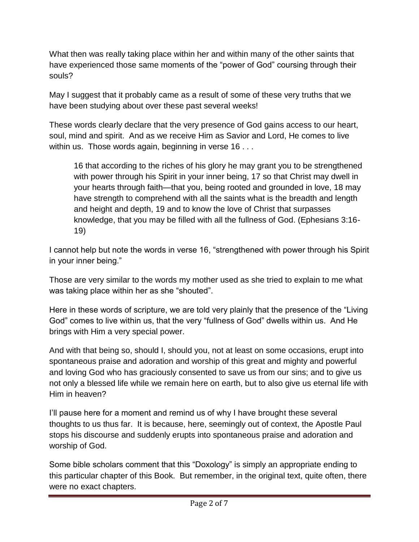What then was really taking place within her and within many of the other saints that have experienced those same moments of the "power of God" coursing through their souls?

May I suggest that it probably came as a result of some of these very truths that we have been studying about over these past several weeks!

These words clearly declare that the very presence of God gains access to our heart, soul, mind and spirit. And as we receive Him as Savior and Lord, He comes to live within us. Those words again, beginning in verse 16 . . .

16 that according to the riches of his glory he may grant you to be strengthened with power through his Spirit in your inner being, 17 so that Christ may dwell in your hearts through faith—that you, being rooted and grounded in love, 18 may have strength to comprehend with all the saints what is the breadth and length and height and depth, 19 and to know the love of Christ that surpasses knowledge, that you may be filled with all the fullness of God. (Ephesians 3:16- 19)

I cannot help but note the words in verse 16, "strengthened with power through his Spirit in your inner being."

Those are very similar to the words my mother used as she tried to explain to me what was taking place within her as she "shouted".

Here in these words of scripture, we are told very plainly that the presence of the "Living God" comes to live within us, that the very "fullness of God" dwells within us. And He brings with Him a very special power.

And with that being so, should I, should you, not at least on some occasions, erupt into spontaneous praise and adoration and worship of this great and mighty and powerful and loving God who has graciously consented to save us from our sins; and to give us not only a blessed life while we remain here on earth, but to also give us eternal life with Him in heaven?

I'll pause here for a moment and remind us of why I have brought these several thoughts to us thus far. It is because, here, seemingly out of context, the Apostle Paul stops his discourse and suddenly erupts into spontaneous praise and adoration and worship of God.

Some bible scholars comment that this "Doxology" is simply an appropriate ending to this particular chapter of this Book. But remember, in the original text, quite often, there were no exact chapters.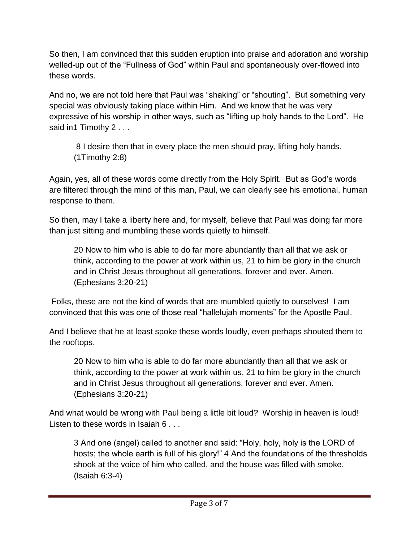So then, I am convinced that this sudden eruption into praise and adoration and worship welled-up out of the "Fullness of God" within Paul and spontaneously over-flowed into these words.

And no, we are not told here that Paul was "shaking" or "shouting". But something very special was obviously taking place within Him. And we know that he was very expressive of his worship in other ways, such as "lifting up holy hands to the Lord". He said in1 Timothy 2 . . .

8 I desire then that in every place the men should pray, lifting holy hands. (1Timothy 2:8)

Again, yes, all of these words come directly from the Holy Spirit. But as God's words are filtered through the mind of this man, Paul, we can clearly see his emotional, human response to them.

So then, may I take a liberty here and, for myself, believe that Paul was doing far more than just sitting and mumbling these words quietly to himself.

20 Now to him who is able to do far more abundantly than all that we ask or think, according to the power at work within us, 21 to him be glory in the church and in Christ Jesus throughout all generations, forever and ever. Amen. (Ephesians 3:20-21)

Folks, these are not the kind of words that are mumbled quietly to ourselves! I am convinced that this was one of those real "hallelujah moments" for the Apostle Paul.

And I believe that he at least spoke these words loudly, even perhaps shouted them to the rooftops.

20 Now to him who is able to do far more abundantly than all that we ask or think, according to the power at work within us, 21 to him be glory in the church and in Christ Jesus throughout all generations, forever and ever. Amen. (Ephesians 3:20-21)

And what would be wrong with Paul being a little bit loud? Worship in heaven is loud! Listen to these words in Isaiah 6 . . .

3 And one (angel) called to another and said: "Holy, holy, holy is the LORD of hosts; the whole earth is full of his glory!" 4 And the foundations of the thresholds shook at the voice of him who called, and the house was filled with smoke. (Isaiah 6:3-4)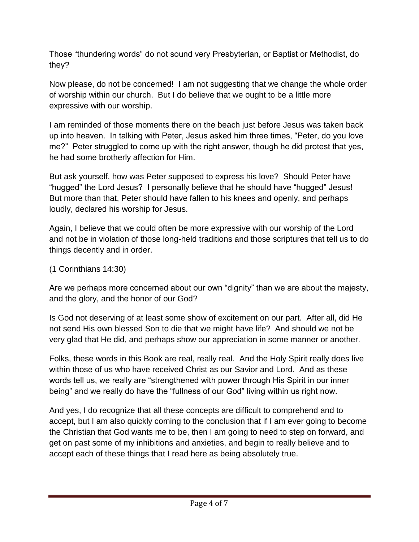Those "thundering words" do not sound very Presbyterian, or Baptist or Methodist, do they?

Now please, do not be concerned! I am not suggesting that we change the whole order of worship within our church. But I do believe that we ought to be a little more expressive with our worship.

I am reminded of those moments there on the beach just before Jesus was taken back up into heaven. In talking with Peter, Jesus asked him three times, "Peter, do you love me?" Peter struggled to come up with the right answer, though he did protest that yes, he had some brotherly affection for Him.

But ask yourself, how was Peter supposed to express his love? Should Peter have "hugged" the Lord Jesus? I personally believe that he should have "hugged" Jesus! But more than that, Peter should have fallen to his knees and openly, and perhaps loudly, declared his worship for Jesus.

Again, I believe that we could often be more expressive with our worship of the Lord and not be in violation of those long-held traditions and those scriptures that tell us to do things decently and in order.

## (1 Corinthians 14:30)

Are we perhaps more concerned about our own "dignity" than we are about the majesty, and the glory, and the honor of our God?

Is God not deserving of at least some show of excitement on our part. After all, did He not send His own blessed Son to die that we might have life? And should we not be very glad that He did, and perhaps show our appreciation in some manner or another.

Folks, these words in this Book are real, really real. And the Holy Spirit really does live within those of us who have received Christ as our Savior and Lord. And as these words tell us, we really are "strengthened with power through His Spirit in our inner being" and we really do have the "fullness of our God" living within us right now.

And yes, I do recognize that all these concepts are difficult to comprehend and to accept, but I am also quickly coming to the conclusion that if I am ever going to become the Christian that God wants me to be, then I am going to need to step on forward, and get on past some of my inhibitions and anxieties, and begin to really believe and to accept each of these things that I read here as being absolutely true.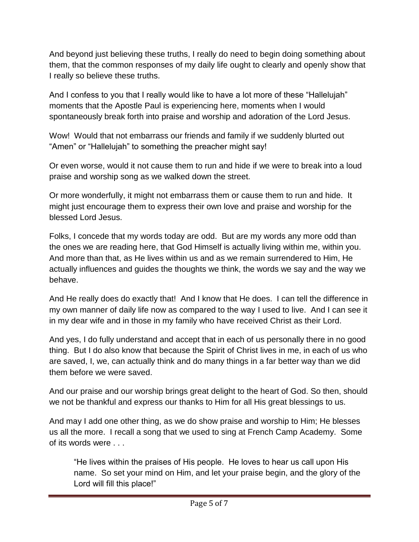And beyond just believing these truths, I really do need to begin doing something about them, that the common responses of my daily life ought to clearly and openly show that I really so believe these truths.

And I confess to you that I really would like to have a lot more of these "Hallelujah" moments that the Apostle Paul is experiencing here, moments when I would spontaneously break forth into praise and worship and adoration of the Lord Jesus.

Wow! Would that not embarrass our friends and family if we suddenly blurted out "Amen" or "Hallelujah" to something the preacher might say!

Or even worse, would it not cause them to run and hide if we were to break into a loud praise and worship song as we walked down the street.

Or more wonderfully, it might not embarrass them or cause them to run and hide. It might just encourage them to express their own love and praise and worship for the blessed Lord Jesus.

Folks, I concede that my words today are odd. But are my words any more odd than the ones we are reading here, that God Himself is actually living within me, within you. And more than that, as He lives within us and as we remain surrendered to Him, He actually influences and guides the thoughts we think, the words we say and the way we behave.

And He really does do exactly that! And I know that He does. I can tell the difference in my own manner of daily life now as compared to the way I used to live. And I can see it in my dear wife and in those in my family who have received Christ as their Lord.

And yes, I do fully understand and accept that in each of us personally there in no good thing. But I do also know that because the Spirit of Christ lives in me, in each of us who are saved, I, we, can actually think and do many things in a far better way than we did them before we were saved.

And our praise and our worship brings great delight to the heart of God. So then, should we not be thankful and express our thanks to Him for all His great blessings to us.

And may I add one other thing, as we do show praise and worship to Him; He blesses us all the more. I recall a song that we used to sing at French Camp Academy. Some of its words were . . .

"He lives within the praises of His people. He loves to hear us call upon His name. So set your mind on Him, and let your praise begin, and the glory of the Lord will fill this place!"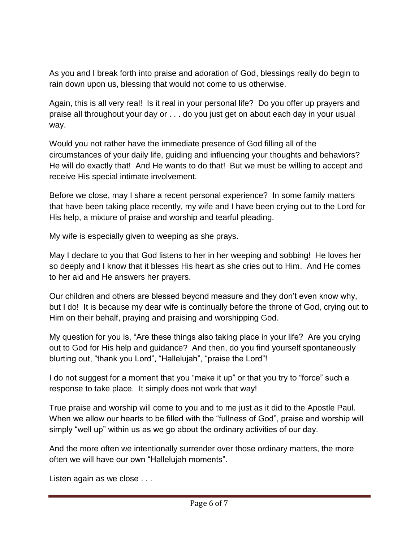As you and I break forth into praise and adoration of God, blessings really do begin to rain down upon us, blessing that would not come to us otherwise.

Again, this is all very real! Is it real in your personal life? Do you offer up prayers and praise all throughout your day or . . . do you just get on about each day in your usual way.

Would you not rather have the immediate presence of God filling all of the circumstances of your daily life, guiding and influencing your thoughts and behaviors? He will do exactly that! And He wants to do that! But we must be willing to accept and receive His special intimate involvement.

Before we close, may I share a recent personal experience? In some family matters that have been taking place recently, my wife and I have been crying out to the Lord for His help, a mixture of praise and worship and tearful pleading.

My wife is especially given to weeping as she prays.

May I declare to you that God listens to her in her weeping and sobbing! He loves her so deeply and I know that it blesses His heart as she cries out to Him. And He comes to her aid and He answers her prayers.

Our children and others are blessed beyond measure and they don't even know why, but I do! It is because my dear wife is continually before the throne of God, crying out to Him on their behalf, praying and praising and worshipping God.

My question for you is, "Are these things also taking place in your life? Are you crying out to God for His help and guidance? And then, do you find yourself spontaneously blurting out, "thank you Lord", "Hallelujah", "praise the Lord"!

I do not suggest for a moment that you "make it up" or that you try to "force" such a response to take place. It simply does not work that way!

True praise and worship will come to you and to me just as it did to the Apostle Paul. When we allow our hearts to be filled with the "fullness of God", praise and worship will simply "well up" within us as we go about the ordinary activities of our day.

And the more often we intentionally surrender over those ordinary matters, the more often we will have our own "Hallelujah moments".

Listen again as we close . . .